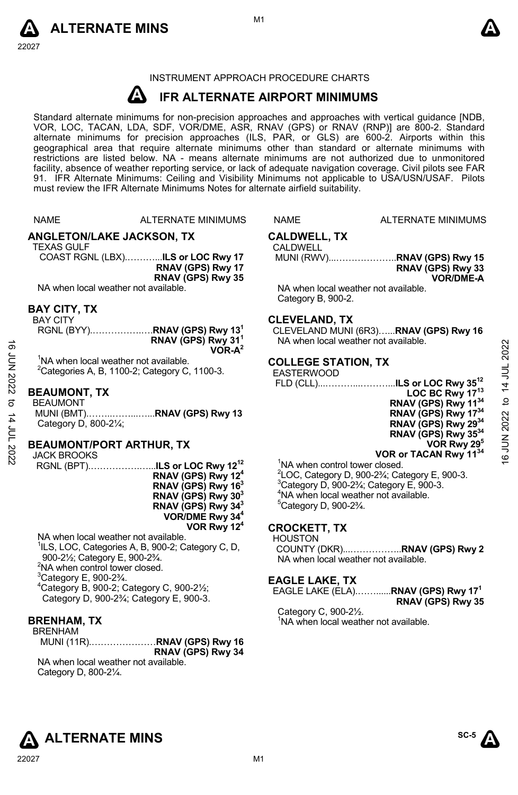



### INSTRUMENT APPROACH PROCEDURE CHARTS

### **A IFR ALTERNATE AIRPORT MINIMUMS**

Standard alternate minimums for non-precision approaches and approaches with vertical guidance [NDB,<br>VOR, LOC, TACAN, LDA, SDF, VOR/DME, ASR, RNAV (GPS) or RNAV (RNP)] are 800-2. Standard<br>alternate minimums for precision a geographical area that require alternate minimums other than standard or alternate minimums with restrictions are listed below. NA - means alternate minimums are not authorized due to unmonitored facility, absence of weather reporting service, or lack of adequate navigation coverage. Civil pilots see FAR 91. IFR Alternate Minimums: Ceiling and Visibility Minimums not applicable to USA/USN/USAF. Pilots must review the IFR Alternate Minimums Notes for alternate airfield suitability.

NAME ALTERNATE MINIMUMS NAME ALTERNATE MINIMUMS

**ANGLETON/LAKE JACKSON, TX** 

TEXAS GULF

COAST RGNL (LBX).………...**ILS or LOC Rwy 17 RNAV (GPS) Rwy 17 RNAV (GPS) Rwy 35** 

NA when local weather not available.

### **BAY CITY, TX**

BAY CITY

|                                                   | RGNL (BYY) <b>RNAV (GPS) Rwy 13<sup>1</sup></b> |
|---------------------------------------------------|-------------------------------------------------|
|                                                   | RNAV (GPS) Rwy 31 <sup>1</sup><br>$VOR-A^2$     |
|                                                   |                                                 |
| <sup>1</sup> NA when local weather not available. |                                                 |

 $2$ Categories A, B, 1100-2; Category C, 1100-3.

### **BEAUMONT, TX**

BEAUMONT MUNI (BMT).……..……...…...**RNAV (GPS) Rwy 13**  Category D, 800-2¼;

### **BEAUMONT/PORT ARTHUR, TX**

JACK BROOKS

RGNL (BPT).…………….…...**ILS or LOC Rwy 1212 RNAV (GPS) Rwy 124 RNAV (GPS) Rwy 163 RNAV (GPS) Rwy 303 RNAV (GPS) Rwy 343 VOR/DME Rwy 344 VOR Rwy 124**

NA when local weather not available. <sup>1</sup>ILS, LOC, Categories A, B, 900-2; Category C, D, 900-2½; Category E, 900-2¾. <sup>2</sup>NA when control tower closed.  $3$ Category E, 900-2 $\frac{3}{4}$ . 4 Category B, 900-2; Category C, 900-2½; Category D, 900-2¾; Category E, 900-3.

### **BRENHAM, TX**

BRENHAM

MUNI (11R).…………………**RNAV (GPS) Rwy 16 RNAV (GPS) Rwy 34**  NA when local weather not available.

Category D, 800-2¼.

# **CALDWELL, TX**

## CALDWELL

MUNI (RWV)...………………..**RNAV (GPS) Rwy 15 RNAV (GPS) Rwy 33 VOR/DME-A** 

NA when local weather not available. Category B, 900-2.

### **CLEVELAND, TX**

CLEVELAND MUNI (6R3)…...**RNAV (GPS) Rwy 16** NA when local weather not available.

### **COLLEGE STATION, TX**

### EASTERWOOD

 FLD (CLL)...………...………...**ILS or LOC Rwy 3512 LOC BC Rwy 1713 RNAV (GPS) Rwy 1134 RNAV (GPS) Rwy 1734 RNAV (GPS) Rwy 2934 RNAV (GPS) Rwy 3534 VOR Rwy 295 VOR or TACAN Rwy 1134** 16 JUN 2022 to 14 JUL 202216 JUN 2022 to 14 JUL 2022

<sup>1</sup>NA when control tower closed.

 $^{2}$ LOC, Category D, 900-2<sup>3</sup>⁄<sub>i</sub>; Category E, 900-3. Category D, 900-2 $3/4$ ; Category E, 900-3. NA when local weather not available. Category D, 900-2¾.

### **CROCKETT, TX**

HOUSTON

COUNTY (DKR)...……………..**RNAV (GPS) Rwy 2**  NA when local weather not available.

### **EAGLE LAKE, TX**

EAGLE LAKE (ELA).……......**RNAV (GPS) Rwy 171 RNAV (GPS) Rwy 35** 

Category C, 900-2½. <sup>1</sup>NA when local weather not available.

**ALTERNATE MINS** 

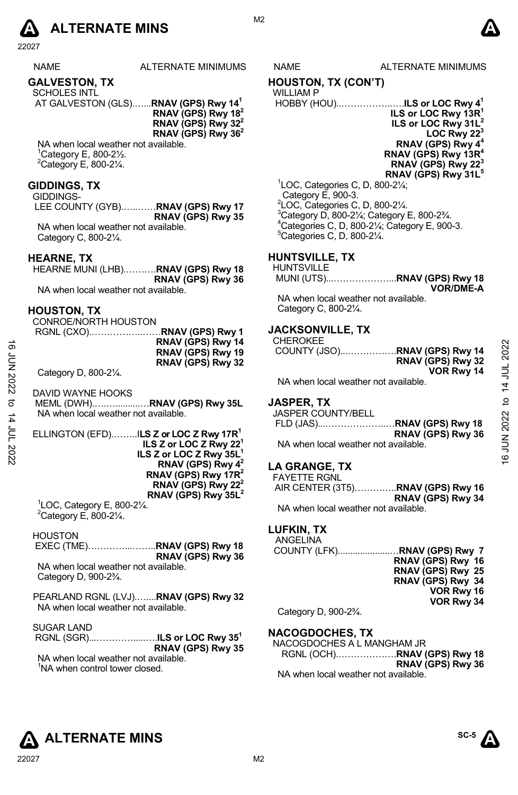

22027

|--|

ALTERNATE MINIMUMS NAME ALTERNATE MINIMUMS

### **GALVESTON, TX**

SCHOLES INTL AT GALVESTON (GLS).…...**RNAV (GPS) Rwy 141**

**RNAV (GPS) Rwy 182 RNAV (GPS) Rwy 322 RNAV (GPS) Rwy 362** 

NA when local weather not available. 1 Category E, 800-2½.  $2$ Category E, 800-2 $\frac{1}{4}$ .

### **GIDDINGS, TX**

GIDDINGS-

LEE COUNTY (GYB).…..……**RNAV (GPS) Rwy 17 RNAV (GPS) Rwy 35**  NA when local weather not available. Category C, 800-2¼.

### **HEARNE, TX**

HEARNE MUNI (LHB).……….**RNAV (GPS) Rwy 18 RNAV (GPS) Rwy 36** 

NA when local weather not available.

### **HOUSTON, TX**

CONROE/NORTH HOUSTON RGNL (CXO).……………..……**RNAV (GPS) Rwy 1 RNAV (GPS) Rwy 14 RNAV (GPS) Rwy 19 RNAV (GPS) Rwy 32**

Category D, 800-2¼.

DAVID WAYNE HOOKS MEML (DWH).….…..........…**RNAV (GPS) Rwy 35L**  NA when local weather not available.

ELLINGTON (EFD).……..I**LS Z or LOC Z Rwy 17R1 ILS Z or LOC Z Rwy 221 ILS Z or LOC Z Rwy 35L1 RNAV (GPS) Rwy 42 RNAV (GPS) Rwy 17R2 RNAV (GPS) Rwy 222 RNAV (GPS) Rwy 35L<sup>2</sup>**<br><sup>1</sup> OC Cotogory E 800 21/

 ${}^{1}$ LOC, Category E, 800-2 $\frac{1}{4}$ .  $^{2}$ Category E, 800-2¼.

**HOUSTON**  EXEC (TME)…………...……..**RNAV (GPS) Rwy 18 RNAV (GPS) Rwy 36**  NA when local weather not available. Category D, 900-2¾.

PEARLAND RGNL (LVJ).…....**RNAV (GPS) Rwy 32** 

NA when local weather not available.

SUGAR LAND

 RGNL (SGR)...………….....….**ILS or LOC Rwy 351 RNAV (GPS) Rwy 35**  NA when local weather not available. <sup>1</sup>NA when control tower closed.

M<sub>2</sub>

### **HOUSTON, TX (CON'T)**

### WILLIAM P

 HOBBY (HOU)..……………..….**ILS or LOC Rwy 41 ILS or LOC Rwy 13R1 ILS or LOC Rwy 31L2 LOC Rwy 22<sup>3</sup> RNAV (GPS) Rwy 4<sup>4</sup> RNAV (GPS) Rwy 13R4 RNAV (GPS) Rwy 22<sup>3</sup> RNAV (GPS) Rwy 31L5**  1 LOC, Categories C, D, 800-2¼;

 Category E, 900-3. LOC, Categories C, D, 800-2¼. Category D, 800-2 $\frac{1}{4}$ ; Category E, 800-2 $\frac{3}{4}$ . Categories C, D, 800-2¼; Category E, 900-3. Categories C, D, 800-2¼.

### **HUNTSVILLE, TX**

### HUNTSVILLE

MUNI (UTS)...………………...**RNAV (GPS) Rwy 18 VOR/DME-A** 

NA when local weather not available. Category C, 800-2¼.

### **JACKSONVILLE, TX**

CHEROKEE COUNTY (JSO)...…………….**RNAV (GPS) Rwy 14 RNAV (GPS) Rwy 32 VOR Rwy 14**  16 JUN 2022 to 14 JUL 202216 JUN 2022 to 14 JUL 2022

NA when local weather not available.

# **JASPER, TX**

JASPER COUNTY/BELL FLD (JAS)...………………..…**RNAV (GPS) Rwy 18 RNAV (GPS) Rwy 36**  NA when local weather not available.

## **LA GRANGE, TX**

FAYETTE RGNL AIR CENTER (3T5)…………..**RNAV (GPS) Rwy 16 RNAV (GPS) Rwy 34**  NA when local weather not available.

### **LUFKIN, TX**

| ANGELINA     |                   |
|--------------|-------------------|
|              |                   |
|              | RNAV (GPS) Rwy 16 |
|              | RNAV (GPS) Rwy 25 |
|              | RNAV (GPS) Rwy 34 |
|              | VOR Rwy 16        |
|              | VOR Rwy 34        |
| $C_{\alpha}$ |                   |

Category D, 900-2¾.

### **NACOGDOCHES, TX**

NACOGDOCHES A L MANGHAM JR RGNL (OCH).……………….**RNAV (GPS) Rwy 18 RNAV (GPS) Rwy 36**  NA when local weather not available.